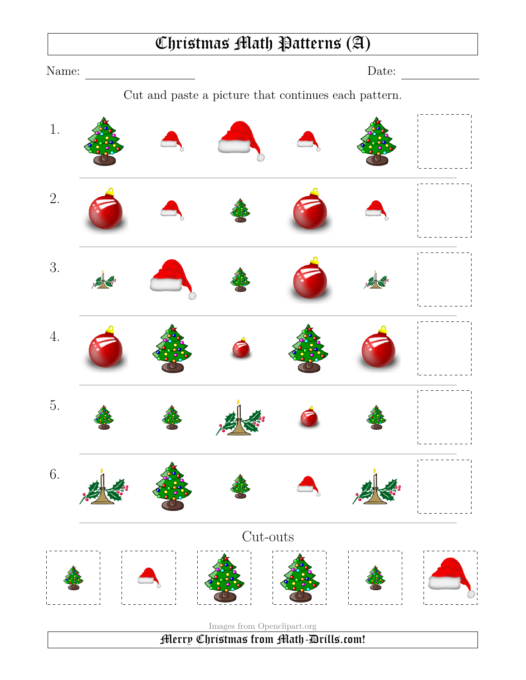#### Christmas Math Patterns (A)

Name: Date: Cut and paste a picture that continues each pattern. 1. 2. 3. 4. 5. 6. Cut-outs Images from Openclipart.org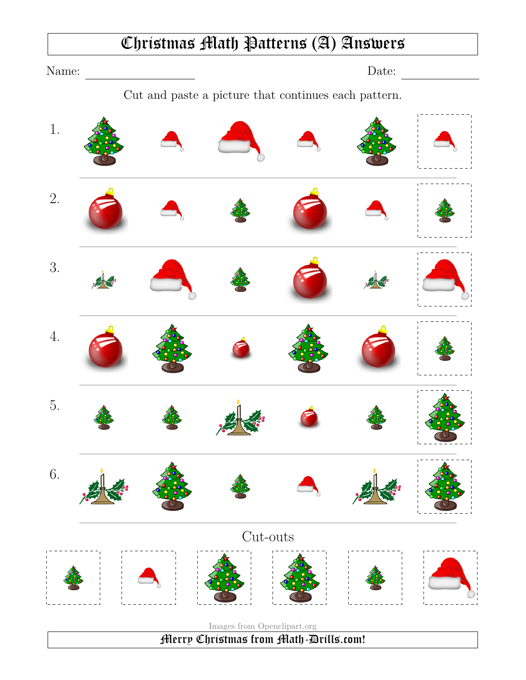#### Christmas Math Patterns (A) Answers

Name: Date:

Cut and paste a picture that continues each pattern.

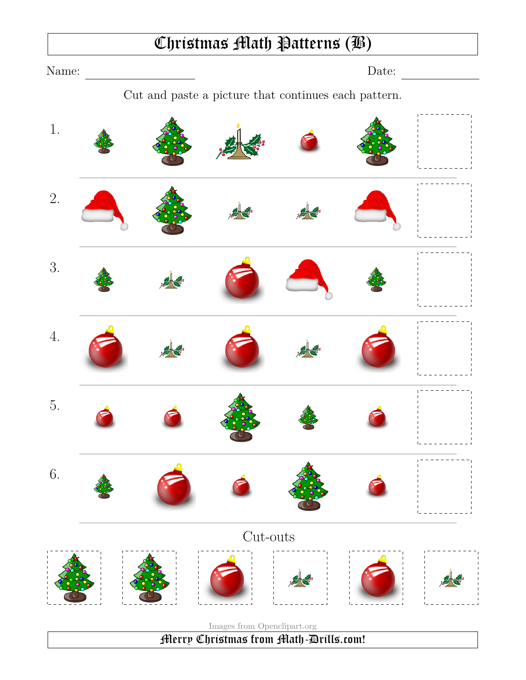## Christmas Math Patterns (B)

Name: Date: Cut and paste a picture that continues each pattern.

1.

2.

3.

4.

5.

6.

Cut-outs

Images from Openclipart.org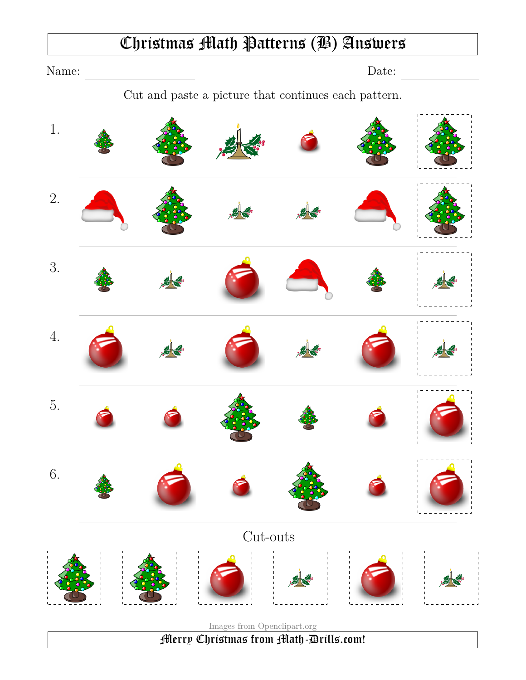#### Christmas Math Patterns (B) Answers

Name: Date:

Cut and paste a picture that continues each pattern.

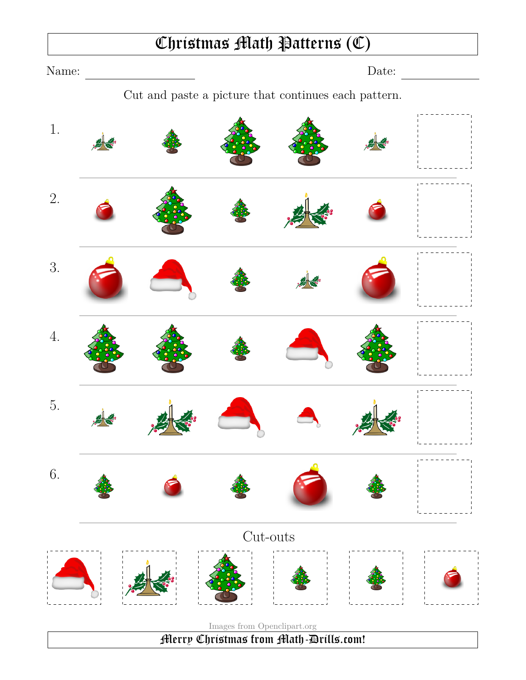#### Christmas Math Patterns (C)

Name: Date: Cut and paste a picture that continues each pattern. 1. 2. 3. 4. 5. 6. Cut-outs Images from Openclipart.org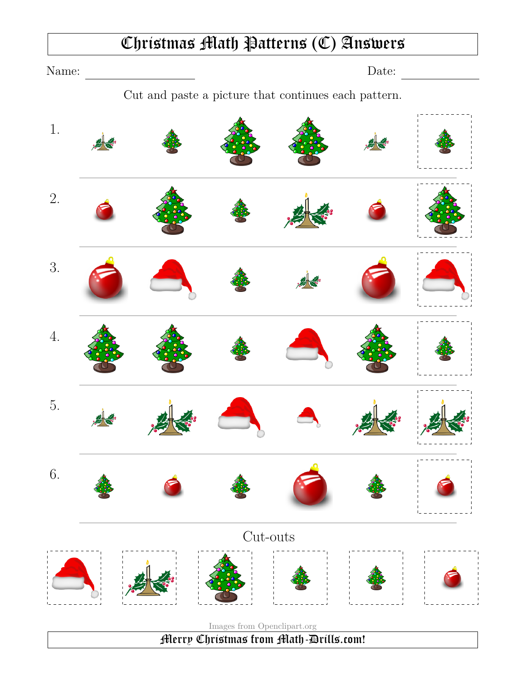#### Christmas Math Patterns (C) Answers

Name: Date: Cut and paste a picture that continues each pattern. 1. 2. 3. 4. 5. 6. Cut-outs

Images from Openclipart.org Merry Christmas from Math-Drills.com!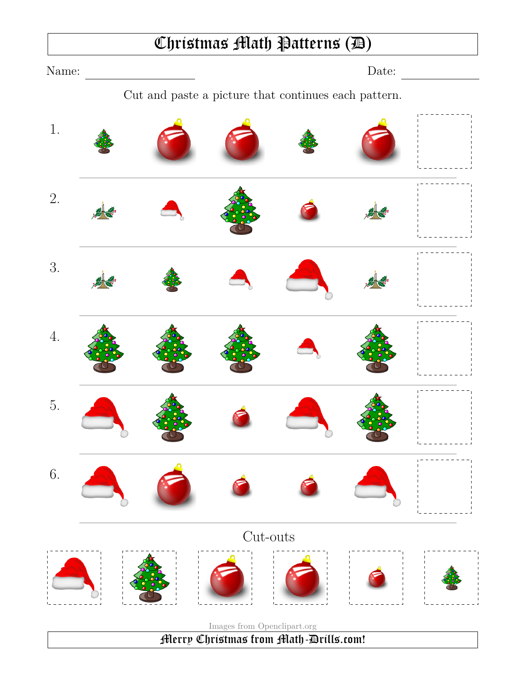#### Christmas Math Patterns (D)

Name: Date: Cut and paste a picture that continues each pattern. 1. 2. 3. 4. 5. 6. Cut-outs Images from Openclipart.org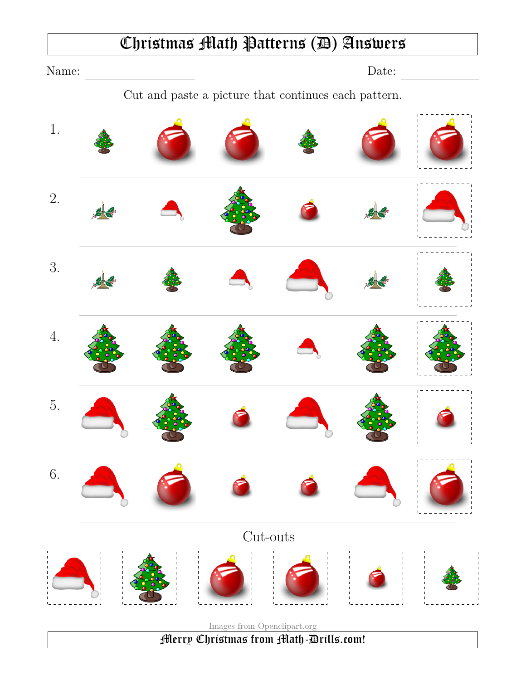#### Christmas Math Patterns (D) Answers

Name: Date: Cut and paste a picture that continues each pattern. 1. 2. 3. 4. 5. 6. Cut-outs Images from Openclipart.org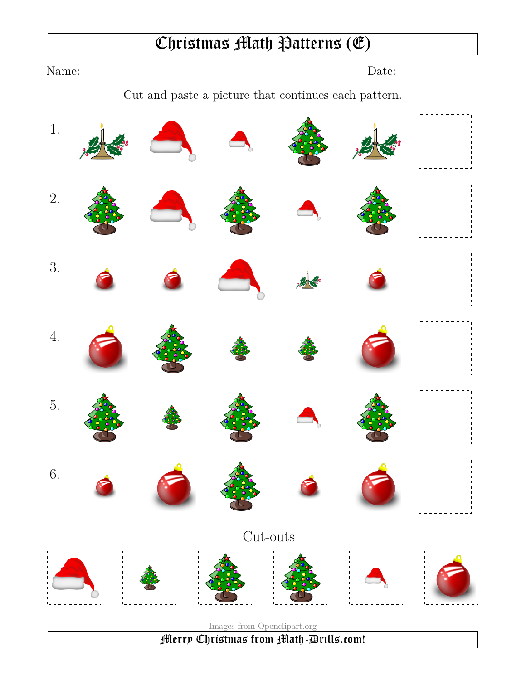#### Christmas Math Patterns (E)

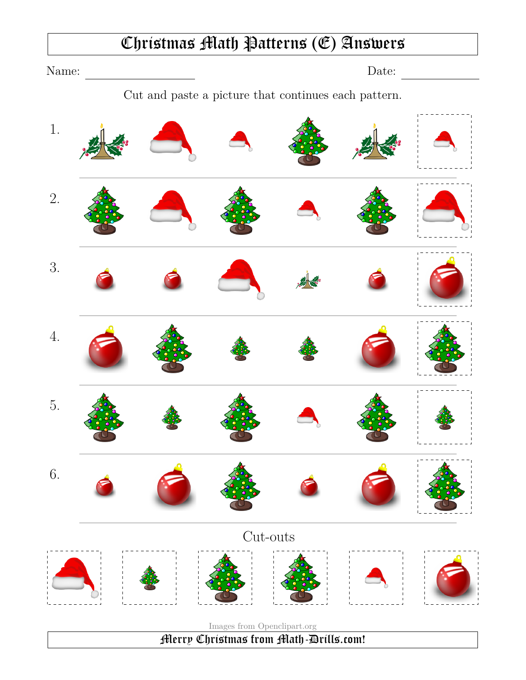# Christmas Math Patterns (E) Answers Name: Date: <u>Date:</u> Cut and paste a picture that continues each pattern. 1. 2. 3. 4. 5. 6. Cut-outs Images from Openclipart.org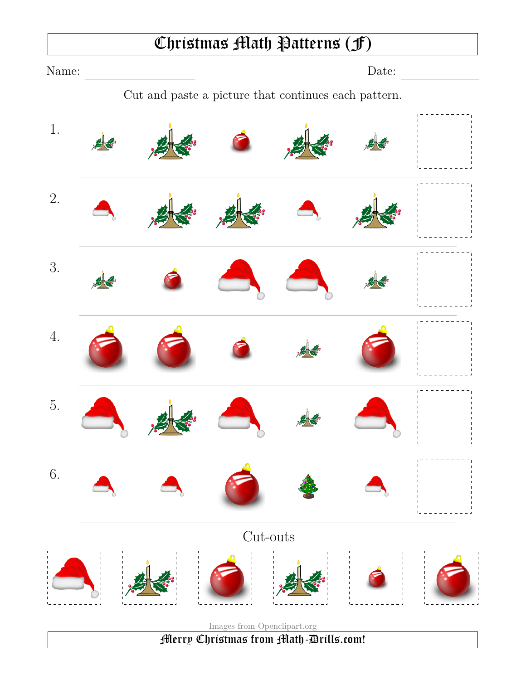#### Christmas Math Patterns (F)

Name: Date:

Cut and paste a picture that continues each pattern.

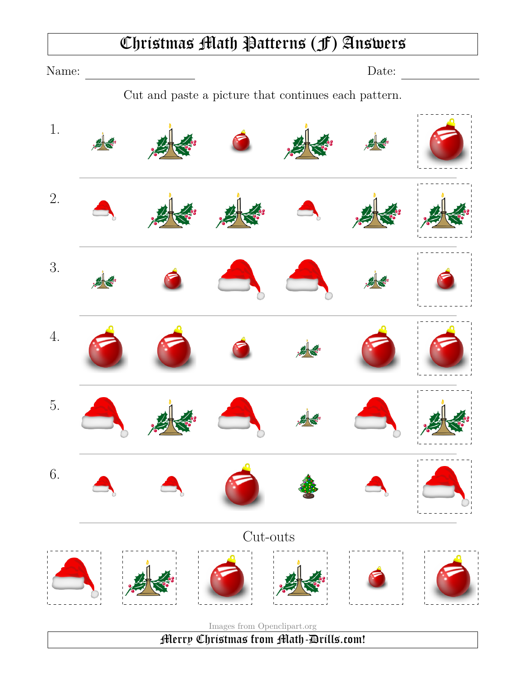#### Christmas Math Patterns (F) Answers

Name: Date:

Cut and paste a picture that continues each pattern.

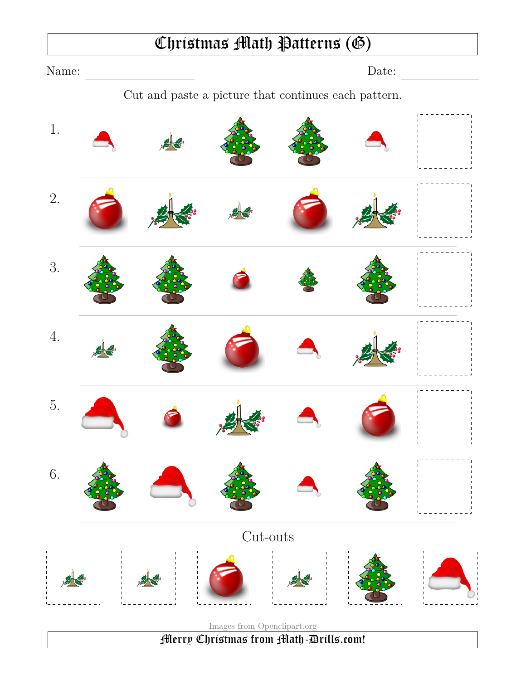#### Christmas Math Patterns (G)

Name: Date: Cut and paste a picture that continues each pattern. 1. 2. 3. 4. 5. 6. Cut-outs Images from Openclipart.org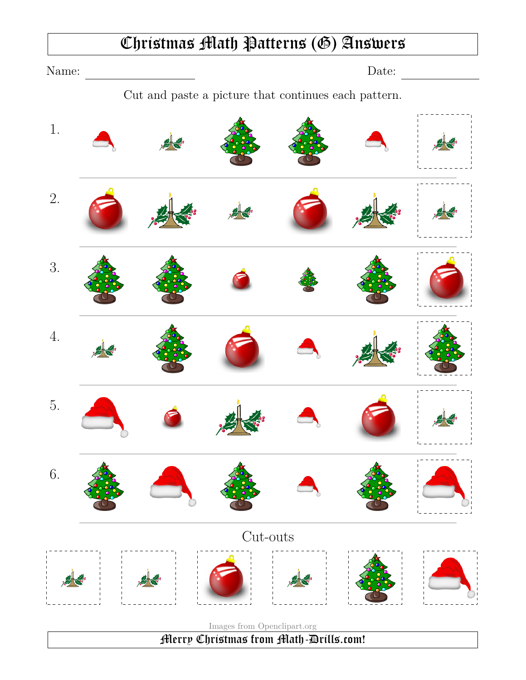#### Christmas Math Patterns (G) Answers

Name: Date:

Cut and paste a picture that continues each pattern.

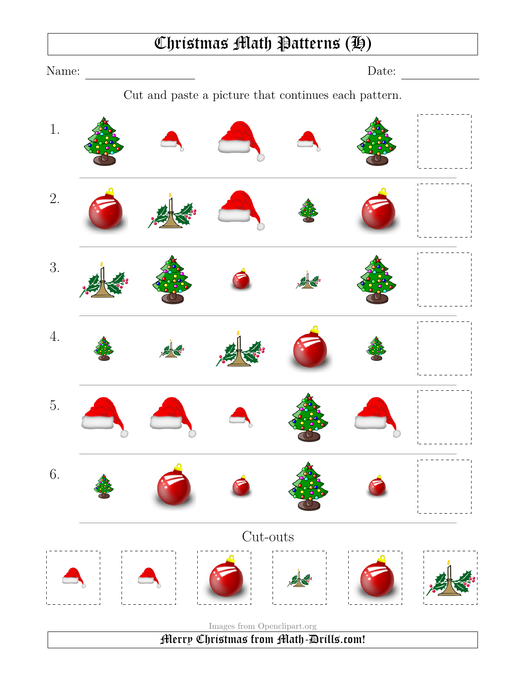## Christmas Math Patterns (H)

Name: Date: Cut and paste a picture that continues each pattern. 1. 2. 3. 4. 5. 6. Cut-outs Images from Openclipart.org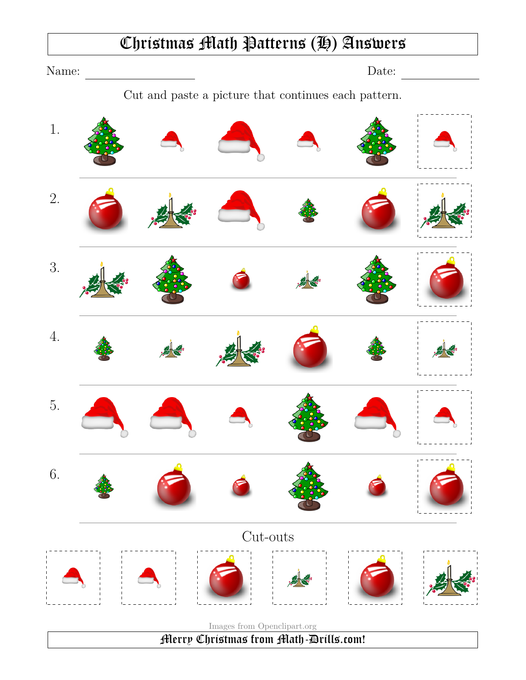#### Christmas Math Patterns (H) Answers

Name: Date: Date: Cut and paste a picture that continues each pattern. 1. 2. 3. 4. 5. 6. Cut-outs

Images from Openclipart.org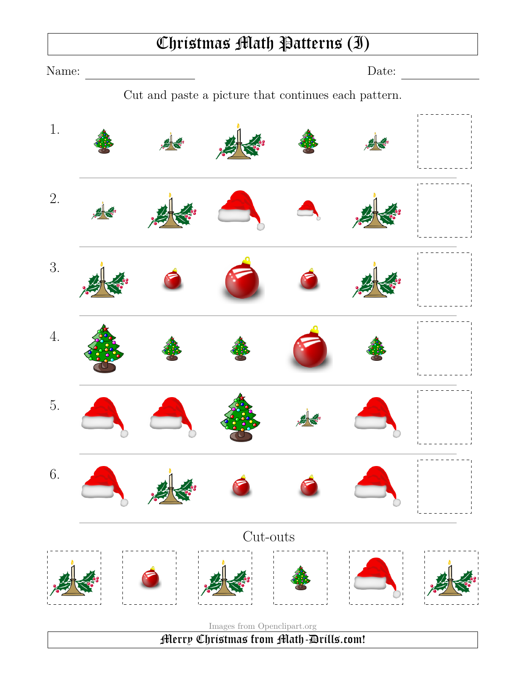## Christmas Math Patterns (I)

Name: Date:

Cut and paste a picture that continues each pattern.

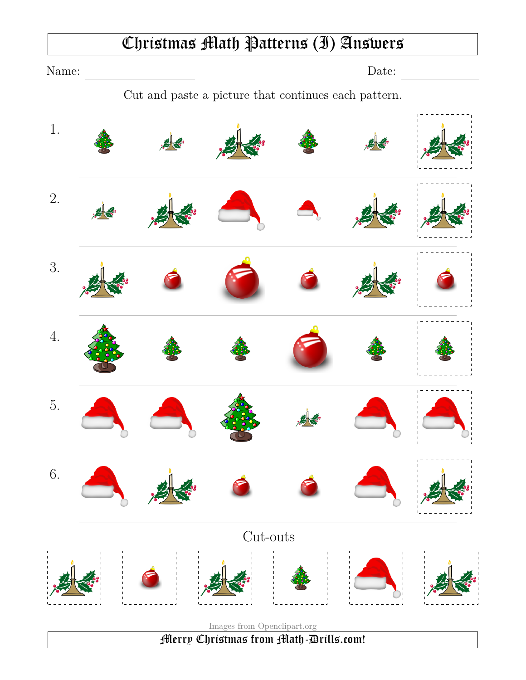#### Christmas Math Patterns (I) Answers

Name: Date:

Cut and paste a picture that continues each pattern.

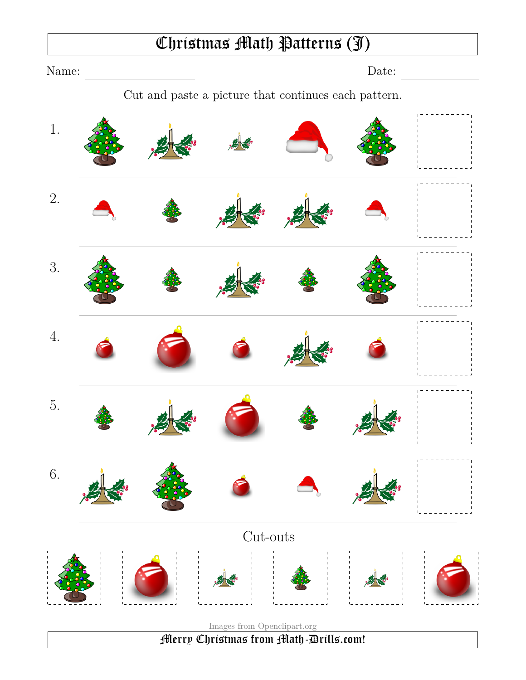#### Christmas Math Patterns (J)

Name: Date:

Cut and paste a picture that continues each pattern.